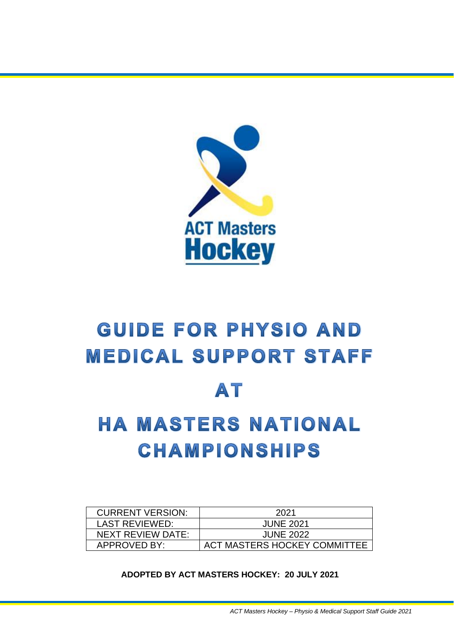

# **GUIDE FOR PHYSIO AND MEDICAL SUPPORT STAFF**

## AT

## **HA MASTERS NATIONAL CHAMPIONSHIPS**

| <b>CURRENT VERSION:</b> | 2021                         |
|-------------------------|------------------------------|
| LAST REVIEWED:          | <b>JUNE 2021</b>             |
| NEXT REVIEW DATE:       | <b>JUNE 2022</b>             |
| <b>APPROVED BY:</b>     | ACT MASTERS HOCKEY COMMITTEE |

**ADOPTED BY ACT MASTERS HOCKEY: 20 JULY 2021**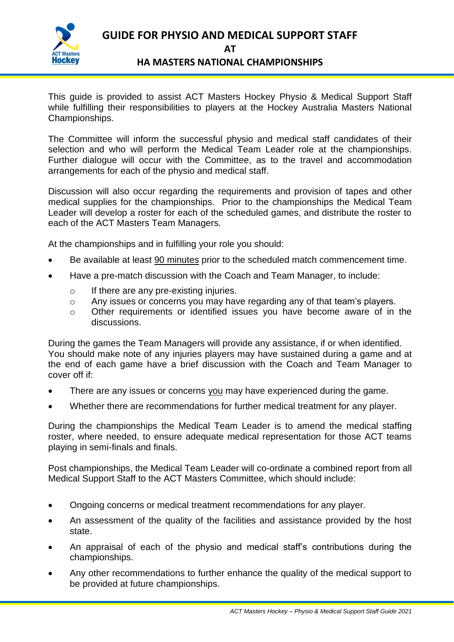

**GUIDE FOR PHYSIO AND MEDICAL SUPPORT STAFF AT HA MASTERS NATIONAL CHAMPIONSHIPS**

This guide is provided to assist ACT Masters Hockey Physio & Medical Support Staff while fulfilling their responsibilities to players at the Hockey Australia Masters National Championships.

The Committee will inform the successful physio and medical staff candidates of their selection and who will perform the Medical Team Leader role at the championships. Further dialogue will occur with the Committee, as to the travel and accommodation arrangements for each of the physio and medical staff.

Discussion will also occur regarding the requirements and provision of tapes and other medical supplies for the championships. Prior to the championships the Medical Team Leader will develop a roster for each of the scheduled games, and distribute the roster to each of the ACT Masters Team Managers.

At the championships and in fulfilling your role you should:

- Be available at least 90 minutes prior to the scheduled match commencement time.
- Have a pre-match discussion with the Coach and Team Manager, to include:
	- o If there are any pre-existing injuries.
	- o Any issues or concerns you may have regarding any of that team's players.
	- o Other requirements or identified issues you have become aware of in the discussions.

During the games the Team Managers will provide any assistance, if or when identified. You should make note of any injuries players may have sustained during a game and at the end of each game have a brief discussion with the Coach and Team Manager to cover off if:

- There are any issues or concerns you may have experienced during the game.
- Whether there are recommendations for further medical treatment for any player.

During the championships the Medical Team Leader is to amend the medical staffing roster, where needed, to ensure adequate medical representation for those ACT teams playing in semi-finals and finals.

Post championships, the Medical Team Leader will co-ordinate a combined report from all Medical Support Staff to the ACT Masters Committee, which should include:

- Ongoing concerns or medical treatment recommendations for any player.
- An assessment of the quality of the facilities and assistance provided by the host state.
- An appraisal of each of the physio and medical staff's contributions during the championships.
- Any other recommendations to further enhance the quality of the medical support to be provided at future championships.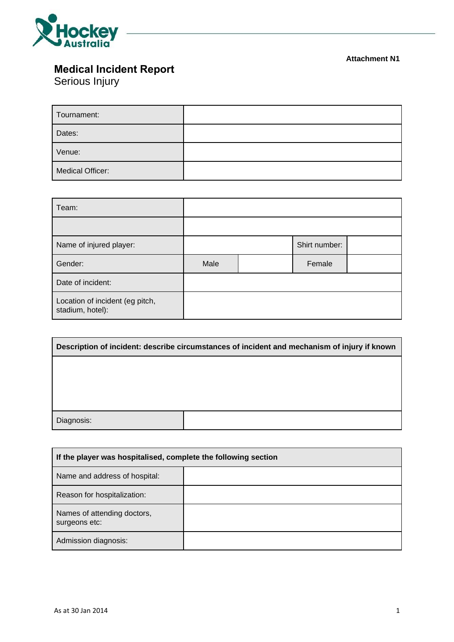

#### **Attachment N1**

## **Medical Incident Report**

Serious Injury

| Tournament:      |  |
|------------------|--|
| Dates:           |  |
| Venue:           |  |
| Medical Officer: |  |

| Team:                                               |      |  |               |  |
|-----------------------------------------------------|------|--|---------------|--|
|                                                     |      |  |               |  |
| Name of injured player:                             |      |  | Shirt number: |  |
| Gender:                                             | Male |  | Female        |  |
| Date of incident:                                   |      |  |               |  |
| Location of incident (eg pitch,<br>stadium, hotel): |      |  |               |  |

| Description of incident: describe circumstances of incident and mechanism of injury if known |  |  |  |
|----------------------------------------------------------------------------------------------|--|--|--|
|                                                                                              |  |  |  |
|                                                                                              |  |  |  |
|                                                                                              |  |  |  |
| Diagnosis:                                                                                   |  |  |  |
|                                                                                              |  |  |  |

| If the player was hospitalised, complete the following section |  |  |
|----------------------------------------------------------------|--|--|
| Name and address of hospital:                                  |  |  |
| Reason for hospitalization:                                    |  |  |
| Names of attending doctors,<br>surgeons etc:                   |  |  |
| Admission diagnosis:                                           |  |  |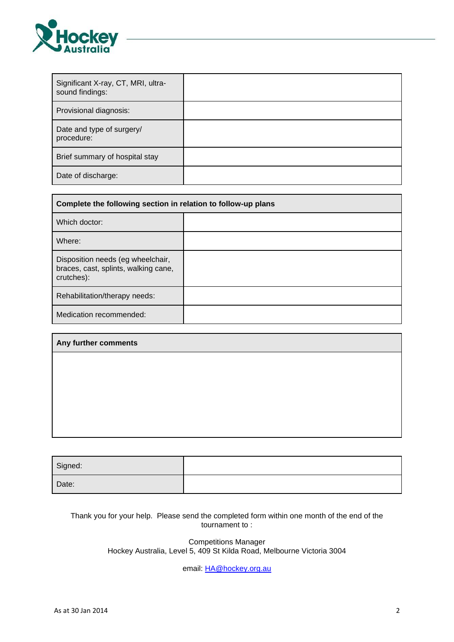

| Significant X-ray, CT, MRI, ultra-<br>sound findings: |  |
|-------------------------------------------------------|--|
| Provisional diagnosis:                                |  |
| Date and type of surgery/<br>procedure:               |  |
| Brief summary of hospital stay                        |  |
| Date of discharge:                                    |  |

| Complete the following section in relation to follow-up plans                           |  |  |
|-----------------------------------------------------------------------------------------|--|--|
| Which doctor:                                                                           |  |  |
| Where:                                                                                  |  |  |
| Disposition needs (eg wheelchair,<br>braces, cast, splints, walking cane,<br>crutches): |  |  |
| Rehabilitation/therapy needs:                                                           |  |  |
| Medication recommended:                                                                 |  |  |

| Any further comments |  |  |  |
|----------------------|--|--|--|
|                      |  |  |  |
|                      |  |  |  |
|                      |  |  |  |
|                      |  |  |  |
|                      |  |  |  |

| Signed: |  |
|---------|--|
| Date:   |  |

Thank you for your help. Please send the completed form within one month of the end of the tournament to :

> Competitions Manager Hockey Australia, Level 5, 409 St Kilda Road, Melbourne Victoria 3004

> > email: [HA@hockey.org.au](mailto:HA@hockey.org.au)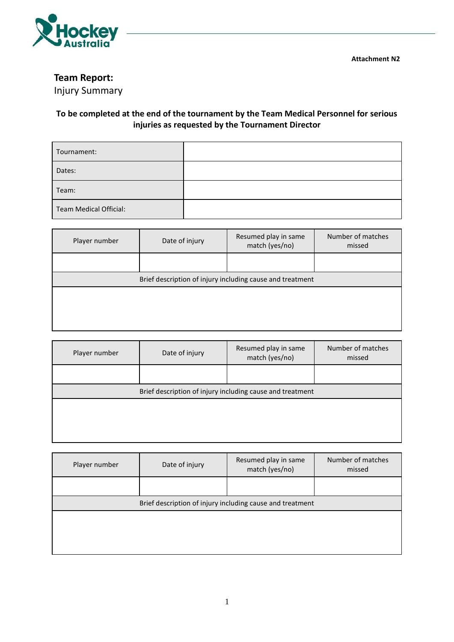

**Attachment N2**

### **Team Report:**

Injury Summary

### **To be completed at the end of the tournament by the Team Medical Personnel for serious injuries as requested by the Tournament Director**

| Tournament:                   |  |
|-------------------------------|--|
| Dates:                        |  |
| Team:                         |  |
| <b>Team Medical Official:</b> |  |

| Player number | Date of injury                                            | Resumed play in same<br>match (yes/no) | Number of matches<br>missed |  |  |
|---------------|-----------------------------------------------------------|----------------------------------------|-----------------------------|--|--|
|               |                                                           |                                        |                             |  |  |
|               | Brief description of injury including cause and treatment |                                        |                             |  |  |
|               |                                                           |                                        |                             |  |  |
|               |                                                           |                                        |                             |  |  |
|               |                                                           |                                        |                             |  |  |

| Player number                                             | Date of injury | Resumed play in same<br>match (yes/no) | Number of matches<br>missed |  |
|-----------------------------------------------------------|----------------|----------------------------------------|-----------------------------|--|
|                                                           |                |                                        |                             |  |
| Brief description of injury including cause and treatment |                |                                        |                             |  |
|                                                           |                |                                        |                             |  |
|                                                           |                |                                        |                             |  |
|                                                           |                |                                        |                             |  |

| Player number                                             | Date of injury | Resumed play in same<br>match (yes/no) | Number of matches<br>missed |
|-----------------------------------------------------------|----------------|----------------------------------------|-----------------------------|
|                                                           |                |                                        |                             |
| Brief description of injury including cause and treatment |                |                                        |                             |
|                                                           |                |                                        |                             |
|                                                           |                |                                        |                             |
|                                                           |                |                                        |                             |